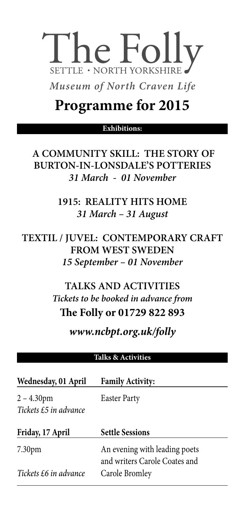# The Folly **SETTLE · NORTH YORKSHIRE**

*Museum of North Craven Life*

## **Programme for 2015**

## **Exhibitions:**

**A COMMUNITY SKILL: THE STORY OF BURTON-IN-LONSDALE'S POTTERIES** *31 March - 01 November*

> **1915: REALITY HITS HOME** *31 March – 31 August*

**TEXTIL / JUVEL: CONTEMPORARY CRAFT FROM WEST SWEDEN** *15 September – 01 November*

> **TALKS AND ACTIVITIES** *Tickets to be booked in advance from* **The Folly or 01729 822 893**

> > *www.ncbpt.org.uk/folly*

### **Talks & Activities**

| Wednesday, 01 April                    | <b>Family Activity:</b>                                        |
|----------------------------------------|----------------------------------------------------------------|
| $2 - 4.30$ pm<br>Tickets £5 in advance | <b>Easter Party</b>                                            |
| Friday, 17 April                       | <b>Settle Sessions</b>                                         |
| 7.30 <sub>pm</sub>                     | An evening with leading poets<br>and writers Carole Coates and |
| Tickets £6 in advance                  | Carole Bromley                                                 |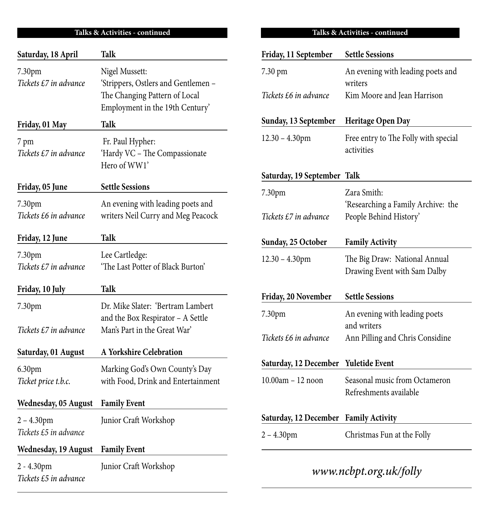| Saturday, 18 April                     | Talk                                                                                                                      |
|----------------------------------------|---------------------------------------------------------------------------------------------------------------------------|
| 7.30pm<br>Tickets £7 in advance        | Nigel Mussett:<br>'Strippers, Ostlers and Gentlemen -<br>The Changing Pattern of Local<br>Employment in the 19th Century' |
| Friday, 01 May                         | Talk                                                                                                                      |
| 7 pm<br>Tickets £7 in advance          | Fr. Paul Hypher:<br>'Hardy VC - The Compassionate<br>Hero of WW1'                                                         |
| Friday, 05 June                        | <b>Settle Sessions</b>                                                                                                    |
| 7.30pm<br>Tickets £6 in advance        | An evening with leading poets and<br>writers Neil Curry and Meg Peacock                                                   |
| Friday, 12 June                        | <b>Talk</b>                                                                                                               |
| 7.30pm<br>Tickets £7 in advance        | Lee Cartledge:<br>'The Last Potter of Black Burton'                                                                       |
| Friday, 10 July                        | <b>Talk</b>                                                                                                               |
| 7.30pm<br>Tickets £7 in advance        | Dr. Mike Slater: 'Bertram Lambert<br>and the Box Respirator - A Settle<br>Man's Part in the Great War'                    |
|                                        |                                                                                                                           |
| Saturday, 01 August                    | A Yorkshire Celebration                                                                                                   |
| 6.30pm<br>Ticket price t.b.c.          | Marking God's Own County's Day<br>with Food, Drink and Entertainment                                                      |
| Wednesday, 05 August                   | <b>Family Event</b>                                                                                                       |
| $2 - 4.30$ pm<br>Tickets £5 in advance | Junior Craft Workshop                                                                                                     |
| Wednesday, 19 August                   | <b>Family Event</b>                                                                                                       |
| $2 - 4.30$ pm<br>Tickets £5 in advance | Junior Craft Workshop                                                                                                     |

### **Talks & Activities - continued Talks & Activities - continued**

| Friday, 11 September         | <b>Settle Sessions</b>                                        |
|------------------------------|---------------------------------------------------------------|
| 7.30 pm                      | An evening with leading poets and<br>writers                  |
| Tickets £6 in advance        | Kim Moore and Jean Harrison                                   |
| Sunday, 13 September         | Heritage Open Day                                             |
| $12.30 - 4.30$ pm            | Free entry to The Folly with special<br>activities            |
| Saturday, 19 September       | Talk                                                          |
| 7.30pm                       | Zara Smith:<br>'Researching a Family Archive: the             |
| Tickets £7 in advance        | People Behind History'                                        |
| Sunday, 25 October           | <b>Family Activity</b>                                        |
| $12.30 - 4.30$ pm            | The Big Draw: National Annual<br>Drawing Event with Sam Dalby |
| Friday, 20 November          | <b>Settle Sessions</b>                                        |
| 7.30pm                       | An evening with leading poets<br>and writers                  |
| Tickets £6 in advance        | Ann Pilling and Chris Considine                               |
|                              |                                                               |
| Saturday, 12 December        | Yuletide Event                                                |
| 10.00am - 12 noon            | Seasonal music from Octameron<br>Refreshments available       |
| <b>Saturday, 12 December</b> | <b>Family Activity</b>                                        |

## *www.ncbpt.org.uk/folly*